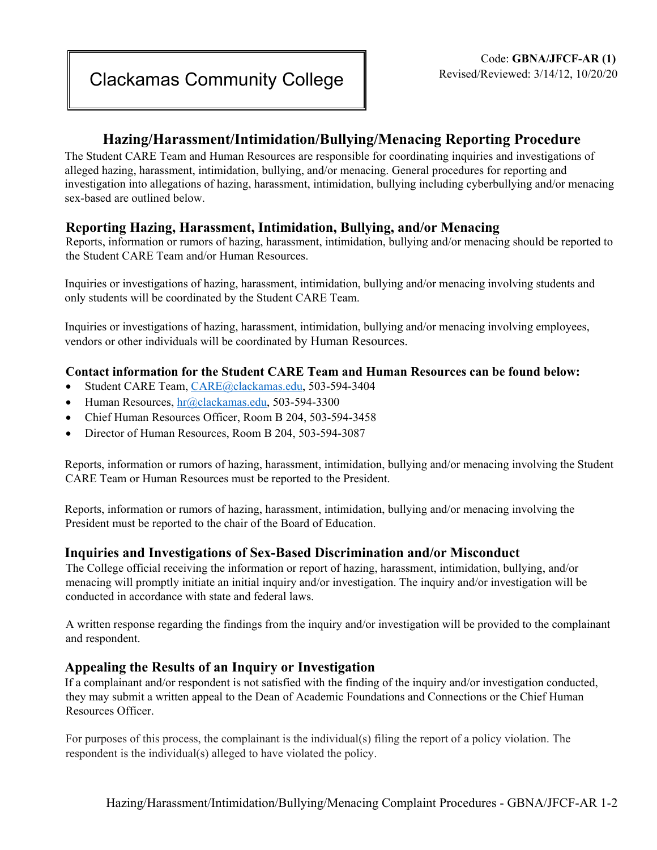# **Hazing/Harassment/Intimidation/Bullying/Menacing Reporting Procedure**

The Student CARE Team and Human Resources are responsible for coordinating inquiries and investigations of alleged hazing, harassment, intimidation, bullying, and/or menacing. General procedures for reporting and investigation into allegations of hazing, harassment, intimidation, bullying including cyberbullying and/or menacing sex-based are outlined below.

## **Reporting Hazing, Harassment, Intimidation, Bullying, and/or Menacing**

Reports, information or rumors of hazing, harassment, intimidation, bullying and/or menacing should be reported to the Student CARE Team and/or Human Resources.

Inquiries or investigations of hazing, harassment, intimidation, bullying and/or menacing involving students and only students will be coordinated by the Student CARE Team.

Inquiries or investigations of hazing, harassment, intimidation, bullying and/or menacing involving employees, vendors or other individuals will be coordinated by Human Resources.

#### **Contact information for the Student CARE Team and Human Resources can be found below:**

- Student CARE Team, CARE@clackamas.edu, 503-594-3404
- Human Resources, hr@clackamas.edu, 503-594-3300
- Chief Human Resources Officer, Room B 204, 503-594-3458
- Director of Human Resources, Room B 204, 503-594-3087

Reports, information or rumors of hazing, harassment, intimidation, bullying and/or menacing involving the Student CARE Team or Human Resources must be reported to the President.

Reports, information or rumors of hazing, harassment, intimidation, bullying and/or menacing involving the President must be reported to the chair of the Board of Education.

## **Inquiries and Investigations of Sex-Based Discrimination and/or Misconduct**

The College official receiving the information or report of hazing, harassment, intimidation, bullying, and/or menacing will promptly initiate an initial inquiry and/or investigation. The inquiry and/or investigation will be conducted in accordance with state and federal laws.

A written response regarding the findings from the inquiry and/or investigation will be provided to the complainant and respondent.

## **Appealing the Results of an Inquiry or Investigation**

If a complainant and/or respondent is not satisfied with the finding of the inquiry and/or investigation conducted, they may submit a written appeal to the Dean of Academic Foundations and Connections or the Chief Human Resources Officer.

For purposes of this process, the complainant is the individual(s) filing the report of a policy violation. The respondent is the individual(s) alleged to have violated the policy.